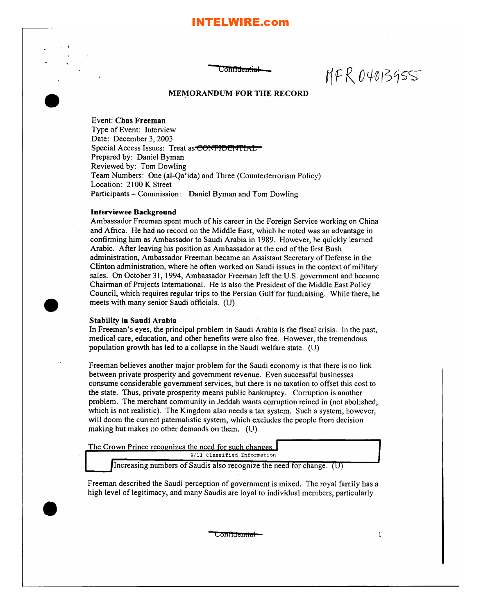# **ITELWIRE.com**

Confid<del>entia</del>l

 $MFR04013955$ 

 $\mathbf{1}$ 

# MEMORANDUM FOR THE RECORD

Event: Chas Freeman

•<br>●

**•** 

Type of Event: Interview Date: December 3, 2003 Special Access Issues: Treat as CONFIDENTIAL Prepared by: Daniel Byman . Reviewed by: Tom Dowling Team Numbers: One (al-Qa'ida) and Three (Counterterrorism Policy) Location: 2100 K Street Participants - Commission: Daniel Byman and Tom Dowling

### Interviewee Background

Ambassador Freeman spent much of his career in the Foreign Service working on China and Africa. He had no record on the Middle East, which he noted was an advantage in confirming him as Ambassador to Saudi Arabia in 1989. However, he quickly learned Arabic. After leaving his position as Ambassador at the end of the first Bush administration, Ambassador Freeman became an Assistant Secretary of Defense in the Clinton administration, where he often worked on Saudi issues in the context of military sales. On October 31,1994, Ambassador Freeman left the U.S. government and became Chairman of Projects International. He is also the President of the Middle East Policy Council, which requires regular trips to the Persian Gulf for fundraising. While there, he meets with many senior Saudi officials. (U)

#### Stability in Saudi Arabia

In Freeman's eyes, the principal problem in Saudi Arabia is the fiscal crisis. In the past, medical care, education, and other benefits were also free. However, the tremendous population growth has led to a collapse in the Saudi welfare state. (U)

Freeman believes another major problem for the Saudi economy is that there is no link between private prosperity and government revenue. Even successful businesses consume considerable goverrunent services, but there is no taxation to offset this cost to the state. Thus, private prosperity means public bankruptcy. Corruption is another problem. The merchant community in Jeddah wants corruption reined in (not abolished, which is not realistic). The Kingdom also needs a tax system. Such a system, however, will doom the current paternalistic system, which excludes the people from decision making but makes no other demands on them. (U)

The Crown Prince recognizes the need for such changes 9/11 Classified Information **....-.....**

Increasing numbers of Saudis also recognize the need for change.  $(U)$ 

Freeman described the Saudi perception of government is mixed. The royal family has a high level of legitimacy, and many Saudis are loyal to individual members, particularly

Co<del>nfidential</del>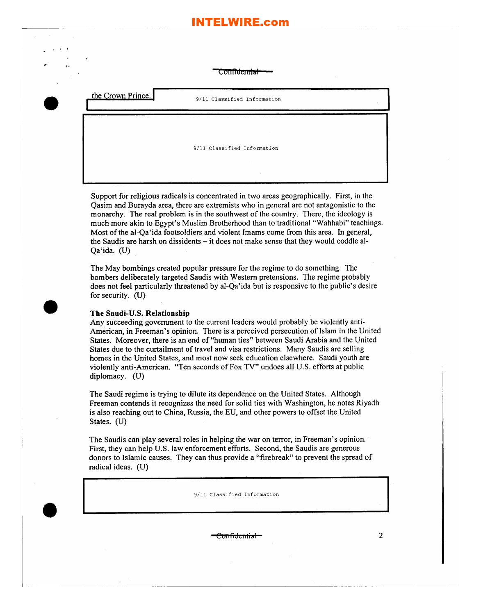# INTELWIRE.com

Confidential

•• I

•<br>●

•

•

9/11 Classified Information

9/11 Classified Information

Support for religious radicals is concentrated in two areas geographically. First, in the Qasim and Burayda area, there are extremists who in general are not antagonistic to the monarchy. The real problem is in the southwest of the country. There, the ideology is much more akin to Egypt's Muslim Brotherhood than to traditional "Wahhabi" teachings. Most of the al-Qa'ida footsoldiers and violent Imams come from this area. In general, the Saudis are harsh on dissidents - it does not make sense that they would coddle al-Qa'ida. (U)

The May bombings created popular pressure for the regime to do something. The bombers deliberately targeted Saudis with Western pretensions. The regime probably 'does not feel particularly threatened by al-Qa'ida but is responsive to the public's desire for security. (U)

# The Saudi-U.S. Relationship

Any succeeding government to the current leaders would probably be violently anti-American, in Freeman's opinion. There is a perceived persecution of Islam in the United States. Moreover, there is an end of "human ties" between Saudi Arabia and the United States due to the curtailment of travel and visa restrictions. Many Saudis are selling homes in the United States, and most now seek education elsewhere. Saudi youth are violently anti-American. "Ten seconds of Fox TV" undoes all U.S. efforts at pub1ic diplomacy. (U)

The Saudi regime is trying to dilute its dependence on the United States. Although Freeman contends it recognizes the need for solid ties with Washington, he notes Riyadh is also reaching out to China, Russia, the EU, and other powers to offset the United States. (U)

The Saudis can play several roles in helping the war on terror, in Freeman's opinion.· First, they can help U.s. law enforcement efforts. Second, the Saudis are generous donors to Islamic causes. They can thus provide a "firebreak" to prevent the spread of radical ideas. (U)

9/11 Classified Information

 $\epsilon$ Oilfideiltial 2